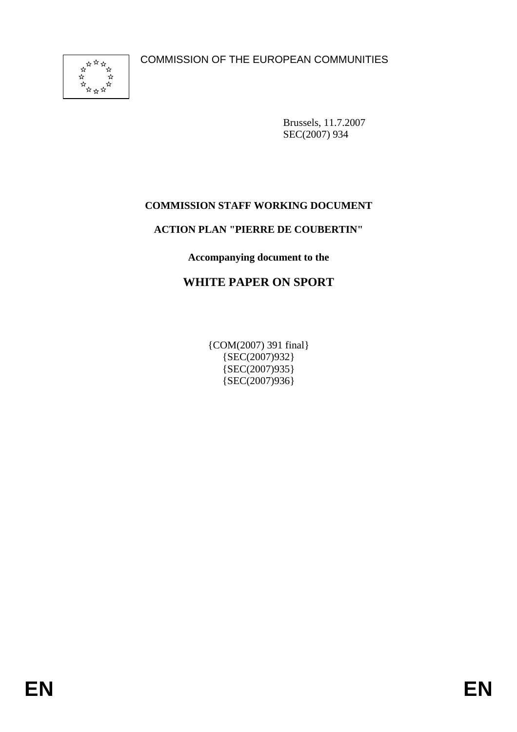COMMISSION OF THE EUROPEAN COMMUNITIES



Brussels, 11.7.2007 SEC(2007) 934

### **COMMISSION STAFF WORKING DOCUMENT**

#### **ACTION PLAN "PIERRE DE COUBERTIN"**

**Accompanying document to the** 

# **WHITE PAPER ON SPORT**

{COM(2007) 391 final} {SEC(2007)932} {SEC(2007)935} {SEC(2007)936}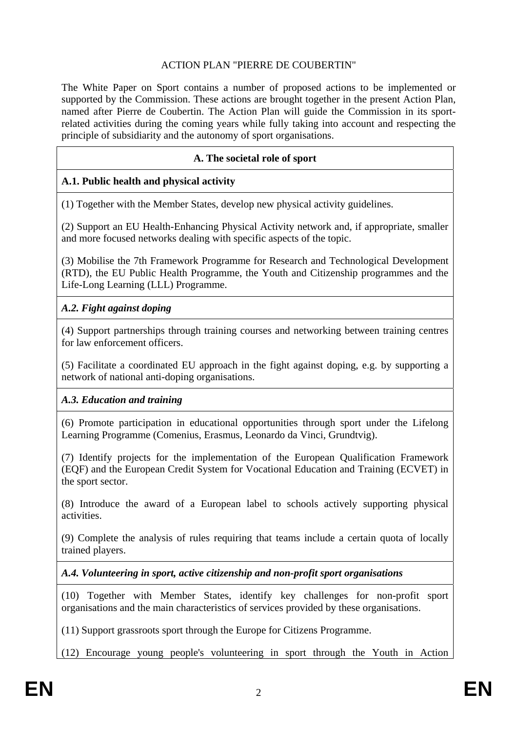#### ACTION PLAN "PIERRE DE COUBERTIN"

The White Paper on Sport contains a number of proposed actions to be implemented or supported by the Commission. These actions are brought together in the present Action Plan, named after Pierre de Coubertin. The Action Plan will guide the Commission in its sportrelated activities during the coming years while fully taking into account and respecting the principle of subsidiarity and the autonomy of sport organisations.

#### **A. The societal role of sport**

#### **A.1. Public health and physical activity**

(1) Together with the Member States, develop new physical activity guidelines.

(2) Support an EU Health-Enhancing Physical Activity network and, if appropriate, smaller and more focused networks dealing with specific aspects of the topic.

(3) Mobilise the 7th Framework Programme for Research and Technological Development (RTD), the EU Public Health Programme, the Youth and Citizenship programmes and the Life-Long Learning (LLL) Programme.

#### *A.2. Fight against doping*

(4) Support partnerships through training courses and networking between training centres for law enforcement officers.

(5) Facilitate a coordinated EU approach in the fight against doping, e.g. by supporting a network of national anti-doping organisations.

#### *A.3. Education and training*

(6) Promote participation in educational opportunities through sport under the Lifelong Learning Programme (Comenius, Erasmus, Leonardo da Vinci, Grundtvig).

(7) Identify projects for the implementation of the European Qualification Framework (EQF) and the European Credit System for Vocational Education and Training (ECVET) in the sport sector.

(8) Introduce the award of a European label to schools actively supporting physical activities.

(9) Complete the analysis of rules requiring that teams include a certain quota of locally trained players.

*A.4. Volunteering in sport, active citizenship and non-profit sport organisations* 

(10) Together with Member States, identify key challenges for non-profit sport organisations and the main characteristics of services provided by these organisations.

(11) Support grassroots sport through the Europe for Citizens Programme.

(12) Encourage young people's volunteering in sport through the Youth in Action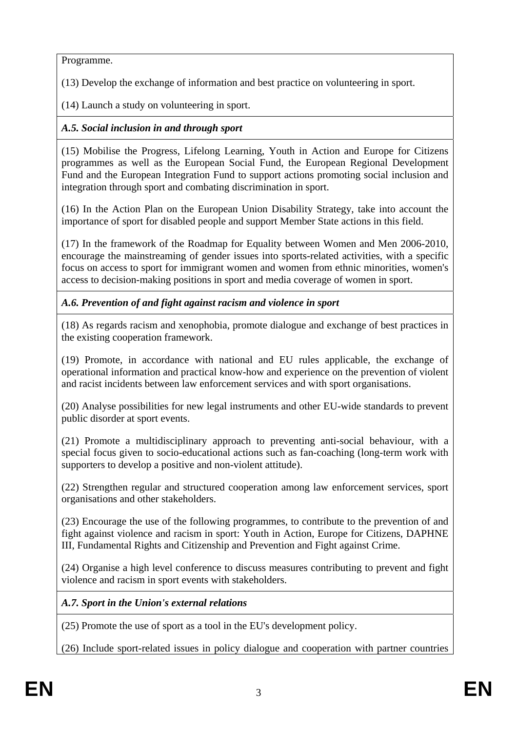Programme.

(13) Develop the exchange of information and best practice on volunteering in sport.

(14) Launch a study on volunteering in sport.

# *A.5. Social inclusion in and through sport*

(15) Mobilise the Progress, Lifelong Learning, Youth in Action and Europe for Citizens programmes as well as the European Social Fund, the European Regional Development Fund and the European Integration Fund to support actions promoting social inclusion and integration through sport and combating discrimination in sport.

(16) In the Action Plan on the European Union Disability Strategy, take into account the importance of sport for disabled people and support Member State actions in this field.

(17) In the framework of the Roadmap for Equality between Women and Men 2006-2010, encourage the mainstreaming of gender issues into sports-related activities, with a specific focus on access to sport for immigrant women and women from ethnic minorities, women's access to decision-making positions in sport and media coverage of women in sport.

*A.6. Prevention of and fight against racism and violence in sport* 

(18) As regards racism and xenophobia, promote dialogue and exchange of best practices in the existing cooperation framework.

(19) Promote, in accordance with national and EU rules applicable, the exchange of operational information and practical know-how and experience on the prevention of violent and racist incidents between law enforcement services and with sport organisations.

(20) Analyse possibilities for new legal instruments and other EU-wide standards to prevent public disorder at sport events.

(21) Promote a multidisciplinary approach to preventing anti-social behaviour, with a special focus given to socio-educational actions such as fan-coaching (long-term work with supporters to develop a positive and non-violent attitude).

(22) Strengthen regular and structured cooperation among law enforcement services, sport organisations and other stakeholders.

(23) Encourage the use of the following programmes, to contribute to the prevention of and fight against violence and racism in sport: Youth in Action, Europe for Citizens, DAPHNE III, Fundamental Rights and Citizenship and Prevention and Fight against Crime.

(24) Organise a high level conference to discuss measures contributing to prevent and fight violence and racism in sport events with stakeholders.

*A.7. Sport in the Union's external relations* 

(25) Promote the use of sport as a tool in the EU's development policy.

(26) Include sport-related issues in policy dialogue and cooperation with partner countries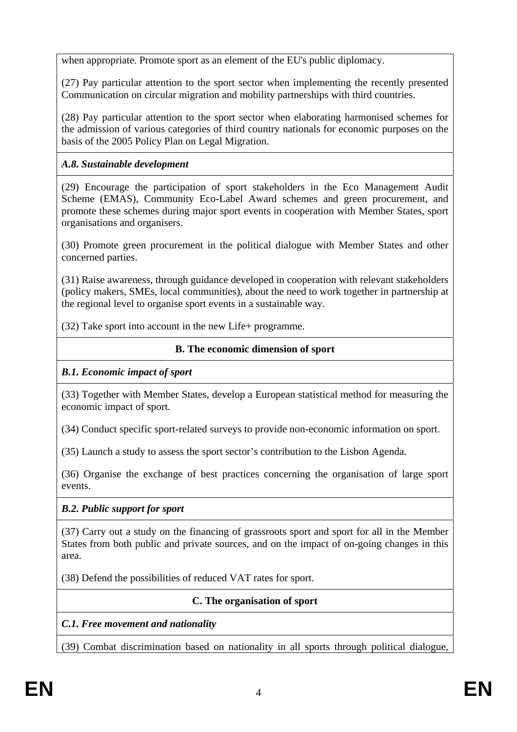when appropriate. Promote sport as an element of the EU's public diplomacy.

(27) Pay particular attention to the sport sector when implementing the recently presented Communication on circular migration and mobility partnerships with third countries.

(28) Pay particular attention to the sport sector when elaborating harmonised schemes for the admission of various categories of third country nationals for economic purposes on the basis of the 2005 Policy Plan on Legal Migration.

# *A.8. Sustainable development*

(29) Encourage the participation of sport stakeholders in the Eco Management Audit Scheme (EMAS), Community Eco-Label Award schemes and green procurement, and promote these schemes during major sport events in cooperation with Member States, sport organisations and organisers.

(30) Promote green procurement in the political dialogue with Member States and other concerned parties.

(31) Raise awareness, through guidance developed in cooperation with relevant stakeholders (policy makers, SMEs, local communities), about the need to work together in partnership at the regional level to organise sport events in a sustainable way.

(32) Take sport into account in the new Life+ programme.

## **B. The economic dimension of sport**

### *B.1. Economic impact of sport*

(33) Together with Member States, develop a European statistical method for measuring the economic impact of sport.

(34) Conduct specific sport-related surveys to provide non-economic information on sport.

(35) Launch a study to assess the sport sector's contribution to the Lisbon Agenda.

(36) Organise the exchange of best practices concerning the organisation of large sport events.

# *B.2. Public support for sport*

(37) Carry out a study on the financing of grassroots sport and sport for all in the Member States from both public and private sources, and on the impact of on-going changes in this area.

(38) Defend the possibilities of reduced VAT rates for sport.

# **C. The organisation of sport**

*C.1. Free movement and nationality* 

(39) Combat discrimination based on nationality in all sports through political dialogue,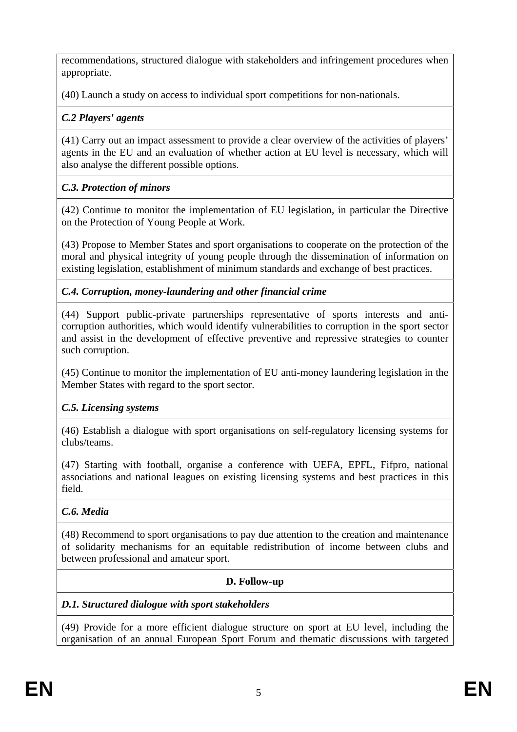recommendations, structured dialogue with stakeholders and infringement procedures when appropriate.

(40) Launch a study on access to individual sport competitions for non-nationals.

## *C.2 Players' agents*

(41) Carry out an impact assessment to provide a clear overview of the activities of players' agents in the EU and an evaluation of whether action at EU level is necessary, which will also analyse the different possible options.

## *C.3. Protection of minors*

(42) Continue to monitor the implementation of EU legislation, in particular the Directive on the Protection of Young People at Work.

(43) Propose to Member States and sport organisations to cooperate on the protection of the moral and physical integrity of young people through the dissemination of information on existing legislation, establishment of minimum standards and exchange of best practices.

## *C.4. Corruption, money-laundering and other financial crime*

(44) Support public-private partnerships representative of sports interests and anticorruption authorities, which would identify vulnerabilities to corruption in the sport sector and assist in the development of effective preventive and repressive strategies to counter such corruption.

(45) Continue to monitor the implementation of EU anti-money laundering legislation in the Member States with regard to the sport sector.

# *C.5. Licensing systems*

(46) Establish a dialogue with sport organisations on self-regulatory licensing systems for clubs/teams.

(47) Starting with football, organise a conference with UEFA, EPFL, Fifpro, national associations and national leagues on existing licensing systems and best practices in this field.

### *C.6. Media*

(48) Recommend to sport organisations to pay due attention to the creation and maintenance of solidarity mechanisms for an equitable redistribution of income between clubs and between professional and amateur sport.

### **D. Follow-up**

### *D.1. Structured dialogue with sport stakeholders*

(49) Provide for a more efficient dialogue structure on sport at EU level, including the organisation of an annual European Sport Forum and thematic discussions with targeted